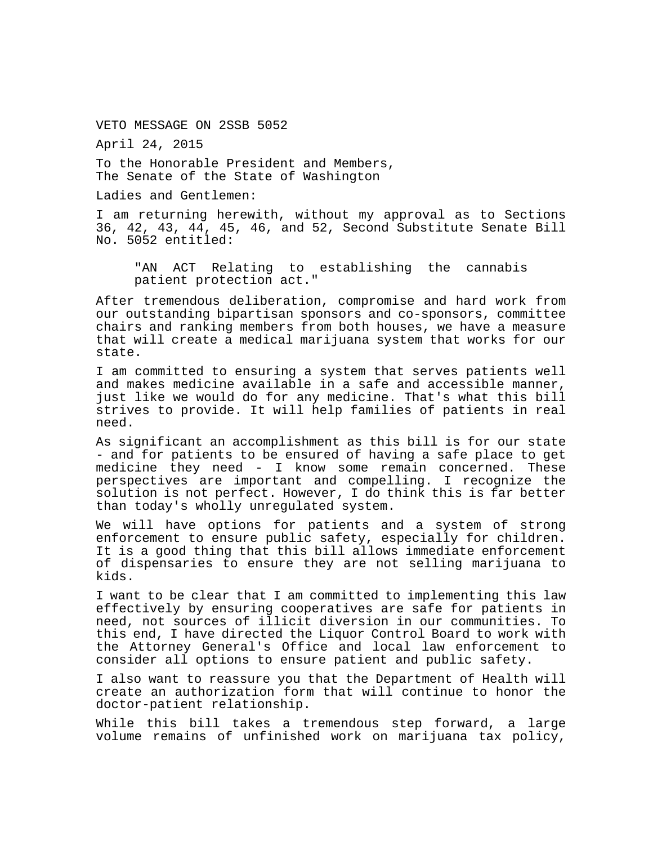VETO MESSAGE ON 2SSB 5052

April 24, 2015

To the Honorable President and Members, The Senate of the State of Washington

Ladies and Gentlemen:

I am returning herewith, without my approval as to Sections 36, 42, 43, 44, 45, 46, and 52, Second Substitute Senate Bill No. 5052 entitled:

"AN ACT Relating to establishing the cannabis patient protection act."

After tremendous deliberation, compromise and hard work from our outstanding bipartisan sponsors and co-sponsors, committee chairs and ranking members from both houses, we have a measure that will create a medical marijuana system that works for our state.

I am committed to ensuring a system that serves patients well and makes medicine available in a safe and accessible manner, just like we would do for any medicine. That's what this bill strives to provide. It will help families of patients in real need.

As significant an accomplishment as this bill is for our state - and for patients to be ensured of having a safe place to get medicine they need - I know some remain concerned. These perspectives are important and compelling. I recognize the solution is not perfect. However, I do think this is far better than today's wholly unregulated system.

We will have options for patients and a system of strong enforcement to ensure public safety, especially for children. It is a good thing that this bill allows immediate enforcement of dispensaries to ensure they are not selling marijuana to kids.

I want to be clear that I am committed to implementing this law effectively by ensuring cooperatives are safe for patients in need, not sources of illicit diversion in our communities. To this end, I have directed the Liquor Control Board to work with the Attorney General's Office and local law enforcement to consider all options to ensure patient and public safety.

I also want to reassure you that the Department of Health will create an authorization form that will continue to honor the doctor-patient relationship.

While this bill takes a tremendous step forward, a large volume remains of unfinished work on marijuana tax policy,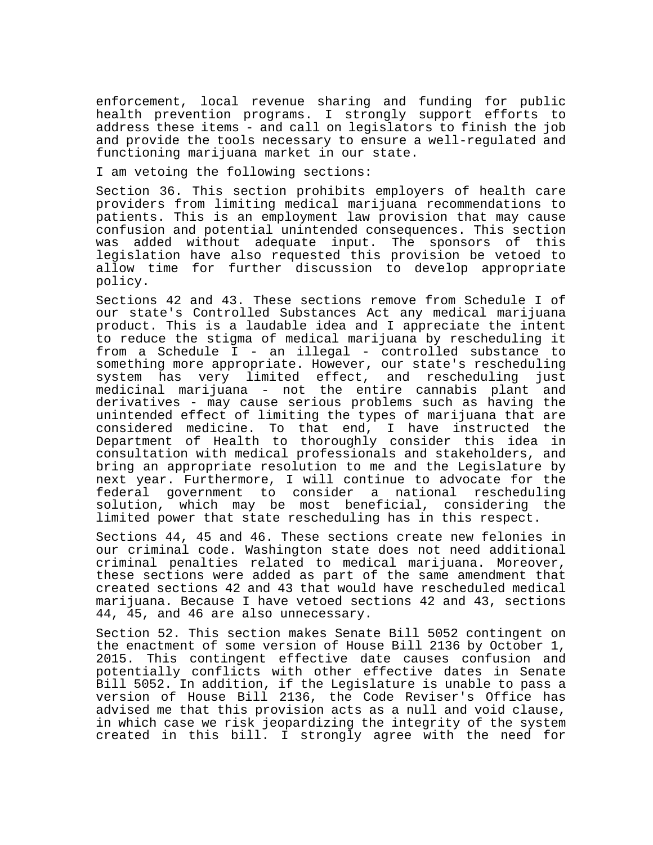enforcement, local revenue sharing and funding for public health prevention programs. I strongly support efforts to address these items - and call on legislators to finish the job and provide the tools necessary to ensure a well-regulated and functioning marijuana market in our state.

I am vetoing the following sections:

Section 36. This section prohibits employers of health care providers from limiting medical marijuana recommendations to patients. This is an employment law provision that may cause confusion and potential unintended consequences. This section was added without adequate input. The sponsors of this legislation have also requested this provision be vetoed to allow time for further discussion to develop appropriate policy.

Sections 42 and 43. These sections remove from Schedule I of our state's Controlled Substances Act any medical marijuana product. This is a laudable idea and I appreciate the intent to reduce the stigma of medical marijuana by rescheduling it from a Schedule I - an illegal - controlled substance to something more appropriate. However, our state's rescheduling system has very limited effect, and rescheduling just medicinal marijuana - not the entire cannabis plant and derivatives - may cause serious problems such as having the unintended effect of limiting the types of marijuana that are considered medicine. To that end, I have instructed the Department of Health to thoroughly consider this idea in consultation with medical professionals and stakeholders, and bring an appropriate resolution to me and the Legislature by next year. Furthermore, I will continue to advocate for the federal government to consider a national rescheduling solution, which may be most beneficial, considering the limited power that state rescheduling has in this respect.

Sections 44, 45 and 46. These sections create new felonies in our criminal code. Washington state does not need additional criminal penalties related to medical marijuana. Moreover, these sections were added as part of the same amendment that created sections 42 and 43 that would have rescheduled medical marijuana. Because I have vetoed sections 42 and 43, sections 44, 45, and 46 are also unnecessary.

Section 52. This section makes Senate Bill 5052 contingent on the enactment of some version of House Bill 2136 by October 1, 2015. This contingent effective date causes confusion and potentially conflicts with other effective dates in Senate Bill 5052. In addition, if the Legislature is unable to pass a version of House Bill 2136, the Code Reviser's Office has advised me that this provision acts as a null and void clause, in which case we risk jeopardizing the integrity of the system created in this bill. I strongly agree with the need for